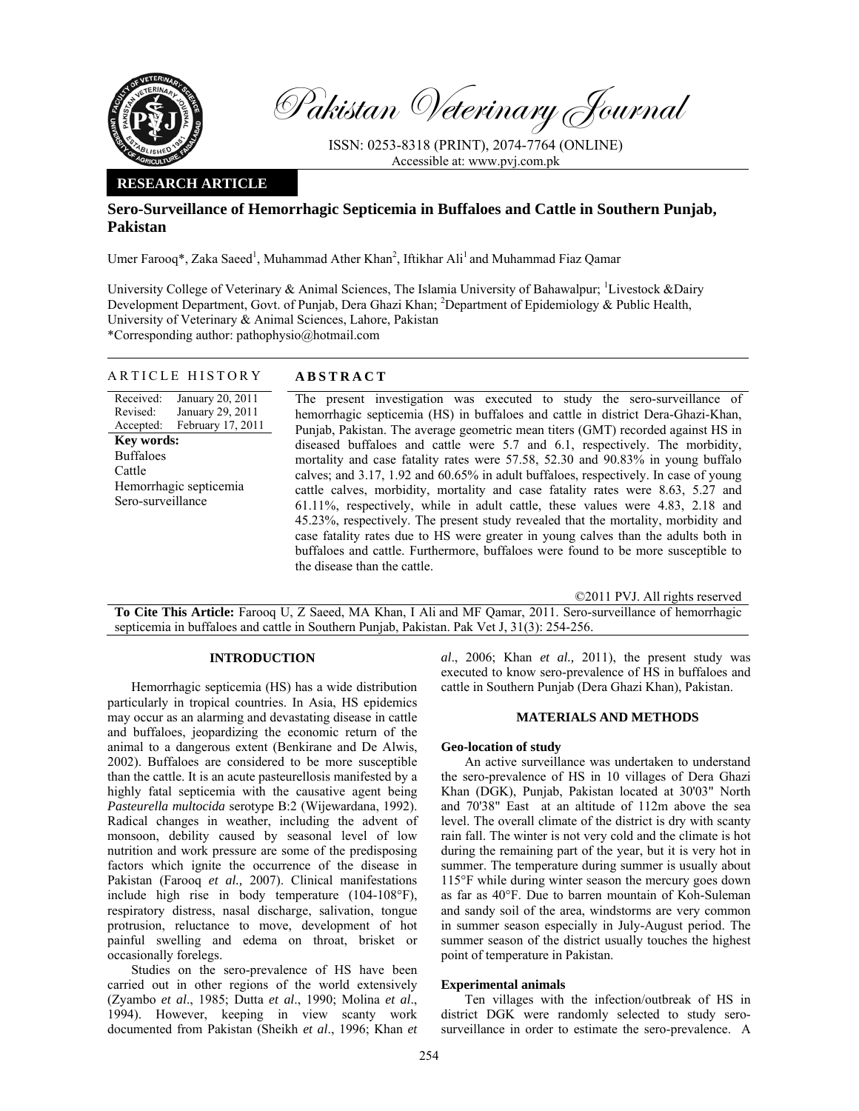

Pakistan Veterinary Journal

ISSN: 0253-8318 (PRINT), 2074-7764 (ONLINE) Accessible at: www.pvj.com.pk

# **RESEARCH ARTICLE**

# **Sero-Surveillance of Hemorrhagic Septicemia in Buffaloes and Cattle in Southern Punjab, Pakistan**

Umer Farooq\*, Zaka Saeed<sup>1</sup>, Muhammad Ather Khan<sup>2</sup>, Iftikhar Ali<sup>1</sup> and Muhammad Fiaz Qamar

University College of Veterinary & Animal Sciences, The Islamia University of Bahawalpur; <sup>1</sup>Livestock &Dairy Development Department, Govt. of Punjab, Dera Ghazi Khan; <sup>2</sup>Department of Epidemiology & Public Health, University of Veterinary & Animal Sciences, Lahore, Pakistan \*Corresponding author: pathophysio@hotmail.com

ARTICLE HISTORY **ABSTRACT** 

Received: Revised: Accepted: January 20, 2011 January 29, 2011 February 17, 2011 **Key words:**  Buffaloes Cattle Hemorrhagic septicemia Sero-surveillance

The present investigation was executed to study the sero-surveillance of hemorrhagic septicemia (HS) in buffaloes and cattle in district Dera-Ghazi-Khan, Punjab, Pakistan. The average geometric mean titers (GMT) recorded against HS in diseased buffaloes and cattle were 5.7 and 6.1, respectively. The morbidity, mortality and case fatality rates were 57.58, 52.30 and 90.83% in young buffalo calves; and 3.17, 1.92 and 60.65% in adult buffaloes, respectively. In case of young cattle calves, morbidity, mortality and case fatality rates were 8.63, 5.27 and 61.11%, respectively, while in adult cattle, these values were 4.83, 2.18 and 45.23%, respectively. The present study revealed that the mortality, morbidity and case fatality rates due to HS were greater in young calves than the adults both in buffaloes and cattle. Furthermore, buffaloes were found to be more susceptible to the disease than the cattle.

©2011 PVJ. All rights reserved

**To Cite This Article:** Farooq U, Z Saeed, MA Khan, I Ali and MF Qamar, 2011. Sero-surveillance of hemorrhagic septicemia in buffaloes and cattle in Southern Punjab, Pakistan. Pak Vet J, 31(3): 254-256.

# **INTRODUCTION**

Hemorrhagic septicemia (HS) has a wide distribution particularly in tropical countries. In Asia, HS epidemics may occur as an alarming and devastating disease in cattle and buffaloes, jeopardizing the economic return of the animal to a dangerous extent (Benkirane and De Alwis, 2002). Buffaloes are considered to be more susceptible than the cattle. It is an acute pasteurellosis manifested by a highly fatal septicemia with the causative agent being *Pasteurella multocida* serotype B:2 (Wijewardana, 1992). Radical changes in weather, including the advent of monsoon, debility caused by seasonal level of low nutrition and work pressure are some of the predisposing factors which ignite the occurrence of the disease in Pakistan (Farooq *et al.,* 2007). Clinical manifestations include high rise in body temperature (104-108°F), respiratory distress, nasal discharge, salivation, tongue protrusion, reluctance to move, development of hot painful swelling and edema on throat, brisket or occasionally forelegs.

Studies on the sero-prevalence of HS have been carried out in other regions of the world extensively (Zyambo *et al*., 1985; Dutta *et al*., 1990; Molina *et al*., 1994). However, keeping in view scanty work documented from Pakistan (Sheikh *et al*., 1996; Khan *et* 

*al*., 2006; Khan *et al.,* 2011), the present study was executed to know sero-prevalence of HS in buffaloes and cattle in Southern Punjab (Dera Ghazi Khan), Pakistan.

## **MATERIALS AND METHODS**

#### **Geo-location of study**

An active surveillance was undertaken to understand the sero-prevalence of HS in 10 villages of Dera Ghazi Khan (DGK), Punjab, Pakistan located at 30'03" North and 70'38" East at an altitude of 112m above the sea level. The overall climate of the district is dry with scanty rain fall. The winter is not very cold and the climate is hot during the remaining part of the year, but it is very hot in summer. The temperature during summer is usually about 115°F while during winter season the mercury goes down as far as 40°F. Due to barren mountain of Koh-Suleman and sandy soil of the area, windstorms are very common in summer season especially in July-August period. The summer season of the district usually touches the highest point of temperature in Pakistan.

#### **Experimental animals**

Ten villages with the infection/outbreak of HS in district DGK were randomly selected to study serosurveillance in order to estimate the sero-prevalence. A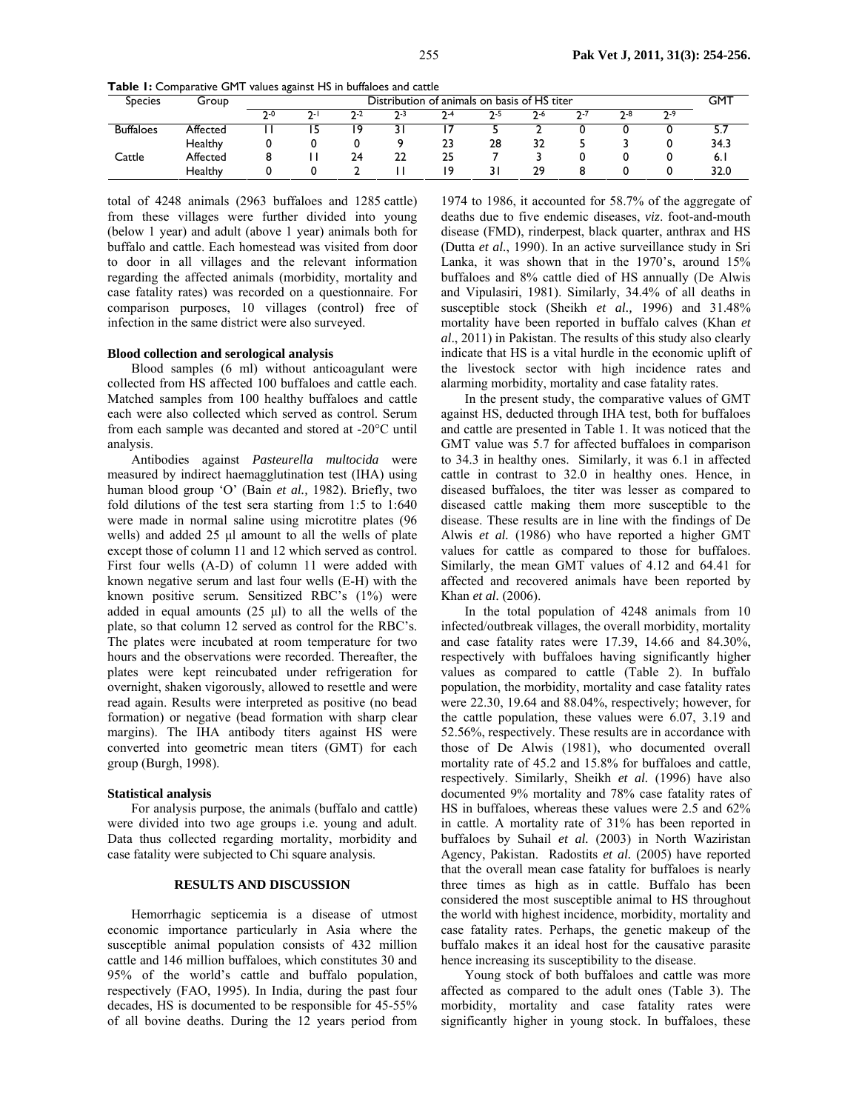|  | <b>Table 1:</b> Comparative GMT values against HS in buffaloes and cattle |  |  |  |
|--|---------------------------------------------------------------------------|--|--|--|
|--|---------------------------------------------------------------------------|--|--|--|

| <b>Species</b>   | Group    | Distribution of animals on basis of HS titer |     |     |         |       |         | GMT     |     |     |     |      |
|------------------|----------|----------------------------------------------|-----|-----|---------|-------|---------|---------|-----|-----|-----|------|
|                  |          | ን-0                                          | ን-. | ን-2 | $7 - 3$ | $7-4$ | $7 - 5$ | $7 - 6$ | ว-7 | ን-8 | ን-9 |      |
| <b>Buffaloes</b> | Affected |                                              |     | ۱9  |         |       |         |         |     |     |     | ر.د  |
|                  | Healthy  |                                              |     |     |         | 23    | 28      | 32      |     |     |     | 34.3 |
| Cattle           | Affected |                                              |     | 24  | 22      | 25    |         |         |     |     |     | 6.1  |
|                  | Healthy  |                                              |     |     |         | ۱۹    |         | 29      |     |     |     | 32.0 |

total of 4248 animals (2963 buffaloes and 1285 cattle) from these villages were further divided into young (below 1 year) and adult (above 1 year) animals both for buffalo and cattle. Each homestead was visited from door to door in all villages and the relevant information regarding the affected animals (morbidity, mortality and case fatality rates) was recorded on a questionnaire. For comparison purposes, 10 villages (control) free of infection in the same district were also surveyed.

#### **Blood collection and serological analysis**

Blood samples (6 ml) without anticoagulant were collected from HS affected 100 buffaloes and cattle each. Matched samples from 100 healthy buffaloes and cattle each were also collected which served as control. Serum from each sample was decanted and stored at -20°C until analysis.

Antibodies against *Pasteurella multocida* were measured by indirect haemagglutination test (IHA) using human blood group 'O' (Bain *et al.,* 1982). Briefly, two fold dilutions of the test sera starting from 1:5 to 1:640 were made in normal saline using microtitre plates (96 wells) and added 25 µl amount to all the wells of plate except those of column 11 and 12 which served as control. First four wells (A-D) of column 11 were added with known negative serum and last four wells (E-H) with the known positive serum. Sensitized RBC's (1%) were added in equal amounts  $(25 \text{ µ})$  to all the wells of the plate, so that column 12 served as control for the RBC's. The plates were incubated at room temperature for two hours and the observations were recorded. Thereafter, the plates were kept reincubated under refrigeration for overnight, shaken vigorously, allowed to resettle and were read again. Results were interpreted as positive (no bead formation) or negative (bead formation with sharp clear margins). The IHA antibody titers against HS were converted into geometric mean titers (GMT) for each group (Burgh, 1998).

#### **Statistical analysis**

For analysis purpose, the animals (buffalo and cattle) were divided into two age groups i.e. young and adult. Data thus collected regarding mortality, morbidity and case fatality were subjected to Chi square analysis.

#### **RESULTS AND DISCUSSION**

Hemorrhagic septicemia is a disease of utmost economic importance particularly in Asia where the susceptible animal population consists of 432 million cattle and 146 million buffaloes, which constitutes 30 and 95% of the world's cattle and buffalo population, respectively (FAO, 1995). In India, during the past four decades, HS is documented to be responsible for 45-55% of all bovine deaths. During the 12 years period from

1974 to 1986, it accounted for 58.7% of the aggregate of deaths due to five endemic diseases, *viz*. foot-and-mouth disease (FMD), rinderpest, black quarter, anthrax and HS (Dutta *et al.*, 1990). In an active surveillance study in Sri Lanka, it was shown that in the 1970's, around 15% buffaloes and 8% cattle died of HS annually (De Alwis and Vipulasiri, 1981). Similarly, 34.4% of all deaths in susceptible stock (Sheikh *et al.,* 1996) and 31.48% mortality have been reported in buffalo calves (Khan *et al*., 2011) in Pakistan. The results of this study also clearly indicate that HS is a vital hurdle in the economic uplift of the livestock sector with high incidence rates and alarming morbidity, mortality and case fatality rates.

In the present study, the comparative values of GMT against HS, deducted through IHA test, both for buffaloes and cattle are presented in Table 1. It was noticed that the GMT value was 5.7 for affected buffaloes in comparison to 34.3 in healthy ones. Similarly, it was 6.1 in affected cattle in contrast to 32.0 in healthy ones. Hence, in diseased buffaloes, the titer was lesser as compared to diseased cattle making them more susceptible to the disease. These results are in line with the findings of De Alwis *et al.* (1986) who have reported a higher GMT values for cattle as compared to those for buffaloes. Similarly, the mean GMT values of 4.12 and 64.41 for affected and recovered animals have been reported by Khan *et al.* (2006).

In the total population of 4248 animals from 10 infected/outbreak villages, the overall morbidity, mortality and case fatality rates were 17.39, 14.66 and 84.30%, respectively with buffaloes having significantly higher values as compared to cattle (Table 2). In buffalo population, the morbidity, mortality and case fatality rates were 22.30, 19.64 and 88.04%, respectively; however, for the cattle population, these values were 6.07, 3.19 and 52.56%, respectively. These results are in accordance with those of De Alwis (1981), who documented overall mortality rate of 45.2 and 15.8% for buffaloes and cattle, respectively. Similarly, Sheikh *et al.* (1996) have also documented 9% mortality and 78% case fatality rates of HS in buffaloes, whereas these values were 2.5 and 62% in cattle. A mortality rate of 31% has been reported in buffaloes by Suhail *et al.* (2003) in North Waziristan Agency, Pakistan. Radostits *et al.* (2005) have reported that the overall mean case fatality for buffaloes is nearly three times as high as in cattle. Buffalo has been considered the most susceptible animal to HS throughout the world with highest incidence, morbidity, mortality and case fatality rates. Perhaps, the genetic makeup of the buffalo makes it an ideal host for the causative parasite hence increasing its susceptibility to the disease.

Young stock of both buffaloes and cattle was more affected as compared to the adult ones (Table 3). The morbidity, mortality and case fatality rates were significantly higher in young stock. In buffaloes, these